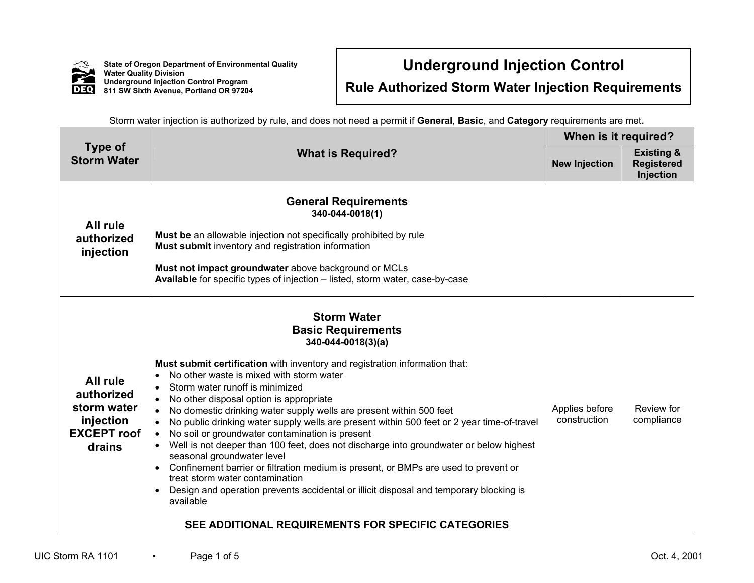

**State of Oregon Department of Environmental Quality Water Quality Division Underground Injection Control Program 811 SW Sixth Avenue, Portland OR 97204**

## **Underground Injection Control**

**Rule Authorized Storm Water Injection Requirements** 

| <b>Type of</b><br><b>Storm Water</b>                                               |                                                                                                                                                                                                                                                                                                                                                                                                                                                                                                                                                                                                                                                                                                                                                                                                                                                                                                                                                                                               | When is it required?           |                                                         |
|------------------------------------------------------------------------------------|-----------------------------------------------------------------------------------------------------------------------------------------------------------------------------------------------------------------------------------------------------------------------------------------------------------------------------------------------------------------------------------------------------------------------------------------------------------------------------------------------------------------------------------------------------------------------------------------------------------------------------------------------------------------------------------------------------------------------------------------------------------------------------------------------------------------------------------------------------------------------------------------------------------------------------------------------------------------------------------------------|--------------------------------|---------------------------------------------------------|
|                                                                                    | <b>What is Required?</b>                                                                                                                                                                                                                                                                                                                                                                                                                                                                                                                                                                                                                                                                                                                                                                                                                                                                                                                                                                      | <b>New Injection</b>           | <b>Existing &amp;</b><br><b>Registered</b><br>Injection |
| All rule<br>authorized<br>injection                                                | <b>General Requirements</b><br>340-044-0018(1)<br>Must be an allowable injection not specifically prohibited by rule<br>Must submit inventory and registration information<br>Must not impact groundwater above background or MCLs<br>Available for specific types of injection - listed, storm water, case-by-case                                                                                                                                                                                                                                                                                                                                                                                                                                                                                                                                                                                                                                                                           |                                |                                                         |
| All rule<br>authorized<br>storm water<br>injection<br><b>EXCEPT</b> roof<br>drains | <b>Storm Water</b><br><b>Basic Requirements</b><br>$340 - 044 - 0018(3)(a)$<br>Must submit certification with inventory and registration information that:<br>No other waste is mixed with storm water<br>$\bullet$<br>Storm water runoff is minimized<br>$\bullet$<br>No other disposal option is appropriate<br>No domestic drinking water supply wells are present within 500 feet<br>$\bullet$<br>No public drinking water supply wells are present within 500 feet or 2 year time-of-travel<br>$\bullet$<br>No soil or groundwater contamination is present<br>$\bullet$<br>Well is not deeper than 100 feet, does not discharge into groundwater or below highest<br>seasonal groundwater level<br>Confinement barrier or filtration medium is present, or BMPs are used to prevent or<br>treat storm water contamination<br>Design and operation prevents accidental or illicit disposal and temporary blocking is<br>available<br>SEE ADDITIONAL REQUIREMENTS FOR SPECIFIC CATEGORIES | Applies before<br>construction | Review for<br>compliance                                |

Storm water injection is authorized by rule, and does not need a permit if **General**, **Basic**, and **Category** requirements are met.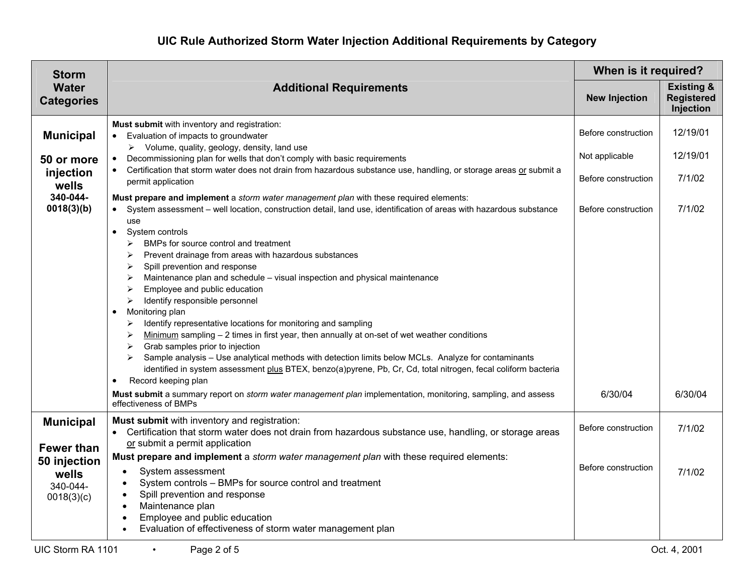| <b>Storm</b>                                    | <b>Additional Requirements</b>                                                                                                                                                                                                                                                                                                                                                                                                                                                                                                                                                                                                                                                                                                                                                                                                                                                                                                                                                                         | When is it required? |                                                         |
|-------------------------------------------------|--------------------------------------------------------------------------------------------------------------------------------------------------------------------------------------------------------------------------------------------------------------------------------------------------------------------------------------------------------------------------------------------------------------------------------------------------------------------------------------------------------------------------------------------------------------------------------------------------------------------------------------------------------------------------------------------------------------------------------------------------------------------------------------------------------------------------------------------------------------------------------------------------------------------------------------------------------------------------------------------------------|----------------------|---------------------------------------------------------|
| <b>Water</b><br><b>Categories</b>               |                                                                                                                                                                                                                                                                                                                                                                                                                                                                                                                                                                                                                                                                                                                                                                                                                                                                                                                                                                                                        | <b>New Injection</b> | <b>Existing &amp;</b><br><b>Registered</b><br>Injection |
| <b>Municipal</b>                                | Must submit with inventory and registration:<br>• Evaluation of impacts to groundwater<br>$\triangleright$ Volume, quality, geology, density, land use                                                                                                                                                                                                                                                                                                                                                                                                                                                                                                                                                                                                                                                                                                                                                                                                                                                 | Before construction  | 12/19/01                                                |
| 50 or more                                      | Decommissioning plan for wells that don't comply with basic requirements<br>$\bullet$                                                                                                                                                                                                                                                                                                                                                                                                                                                                                                                                                                                                                                                                                                                                                                                                                                                                                                                  | Not applicable       | 12/19/01                                                |
| injection<br>wells                              | • Certification that storm water does not drain from hazardous substance use, handling, or storage areas or submit a<br>permit application                                                                                                                                                                                                                                                                                                                                                                                                                                                                                                                                                                                                                                                                                                                                                                                                                                                             | Before construction  | 7/1/02                                                  |
| 340-044-<br>0018(3)(b)                          | Must prepare and implement a storm water management plan with these required elements:<br>• System assessment - well location, construction detail, land use, identification of areas with hazardous substance<br>use                                                                                                                                                                                                                                                                                                                                                                                                                                                                                                                                                                                                                                                                                                                                                                                  | Before construction  | 7/1/02                                                  |
|                                                 | System controls<br>$\bullet$<br>BMPs for source control and treatment<br>➤<br>Prevent drainage from areas with hazardous substances<br>➤<br>Spill prevention and response<br>➤<br>Maintenance plan and schedule - visual inspection and physical maintenance<br>➤<br>Employee and public education<br>➤<br>Identify responsible personnel<br>➤<br>Monitoring plan<br>$\bullet$<br>Identify representative locations for monitoring and sampling<br>➤<br>Minimum sampling $-2$ times in first year, then annually at on-set of wet weather conditions<br>➤<br>Grab samples prior to injection<br>➤<br>Sample analysis - Use analytical methods with detection limits below MCLs. Analyze for contaminants<br>➤<br>identified in system assessment plus BTEX, benzo(a)pyrene, Pb, Cr, Cd, total nitrogen, fecal coliform bacteria<br>Record keeping plan<br>Must submit a summary report on <i>storm water management plan</i> implementation, monitoring, sampling, and assess<br>effectiveness of BMPs | 6/30/04              | 6/30/04                                                 |
| <b>Municipal</b><br><b>Fewer than</b>           | Must submit with inventory and registration:<br>• Certification that storm water does not drain from hazardous substance use, handling, or storage areas<br>or submit a permit application                                                                                                                                                                                                                                                                                                                                                                                                                                                                                                                                                                                                                                                                                                                                                                                                             | Before construction  | 7/1/02                                                  |
| 50 injection<br>wells<br>340-044-<br>0018(3)(c) | Must prepare and implement a <i>storm water management plan</i> with these required elements:<br>System assessment<br>$\bullet$<br>System controls - BMPs for source control and treatment<br>$\bullet$<br>Spill prevention and response<br>$\bullet$                                                                                                                                                                                                                                                                                                                                                                                                                                                                                                                                                                                                                                                                                                                                                  | Before construction  | 7/1/02                                                  |
|                                                 | Maintenance plan<br>$\bullet$<br>Employee and public education<br>Evaluation of effectiveness of storm water management plan                                                                                                                                                                                                                                                                                                                                                                                                                                                                                                                                                                                                                                                                                                                                                                                                                                                                           |                      |                                                         |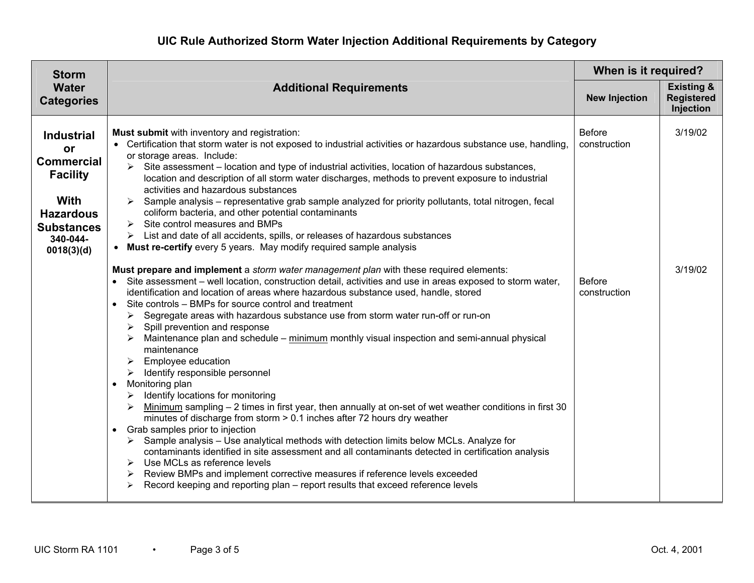| <b>Storm</b><br><b>Water</b><br><b>Categories</b>                                                                                                        | <b>Additional Requirements</b>                                                                                                                                                                                                                                                                                                                                                                                                                                                                                                                                                                                                                                                                                                                                                                                                                                                                                                                                                                                                                                                                                                                                                                                                                                                                                                                                                                                                                                                                                                                                                                                                                                                                                                                                                                                                                                                                                                                                                                                                                                                                                                                                                                                                                                                                            | When is it required?                                           |                                                         |
|----------------------------------------------------------------------------------------------------------------------------------------------------------|-----------------------------------------------------------------------------------------------------------------------------------------------------------------------------------------------------------------------------------------------------------------------------------------------------------------------------------------------------------------------------------------------------------------------------------------------------------------------------------------------------------------------------------------------------------------------------------------------------------------------------------------------------------------------------------------------------------------------------------------------------------------------------------------------------------------------------------------------------------------------------------------------------------------------------------------------------------------------------------------------------------------------------------------------------------------------------------------------------------------------------------------------------------------------------------------------------------------------------------------------------------------------------------------------------------------------------------------------------------------------------------------------------------------------------------------------------------------------------------------------------------------------------------------------------------------------------------------------------------------------------------------------------------------------------------------------------------------------------------------------------------------------------------------------------------------------------------------------------------------------------------------------------------------------------------------------------------------------------------------------------------------------------------------------------------------------------------------------------------------------------------------------------------------------------------------------------------------------------------------------------------------------------------------------------------|----------------------------------------------------------------|---------------------------------------------------------|
|                                                                                                                                                          |                                                                                                                                                                                                                                                                                                                                                                                                                                                                                                                                                                                                                                                                                                                                                                                                                                                                                                                                                                                                                                                                                                                                                                                                                                                                                                                                                                                                                                                                                                                                                                                                                                                                                                                                                                                                                                                                                                                                                                                                                                                                                                                                                                                                                                                                                                           | <b>New Injection</b>                                           | <b>Existing &amp;</b><br><b>Registered</b><br>Injection |
| <b>Industrial</b><br><b>or</b><br><b>Commercial</b><br><b>Facility</b><br><b>With</b><br><b>Hazardous</b><br><b>Substances</b><br>340-044-<br>0018(3)(d) | Must submit with inventory and registration:<br>• Certification that storm water is not exposed to industrial activities or hazardous substance use, handling,<br>or storage areas. Include:<br>$\triangleright$ Site assessment – location and type of industrial activities, location of hazardous substances,<br>location and description of all storm water discharges, methods to prevent exposure to industrial<br>activities and hazardous substances<br>Sample analysis - representative grab sample analyzed for priority pollutants, total nitrogen, fecal<br>coliform bacteria, and other potential contaminants<br>$\triangleright$ Site control measures and BMPs<br>List and date of all accidents, spills, or releases of hazardous substances<br>➤<br>• Must re-certify every 5 years. May modify required sample analysis<br>Must prepare and implement a <i>storm water management plan</i> with these required elements:<br>• Site assessment – well location, construction detail, activities and use in areas exposed to storm water,<br>identification and location of areas where hazardous substance used, handle, stored<br>Site controls – BMPs for source control and treatment<br>$\bullet$<br>Segregate areas with hazardous substance use from storm water run-off or run-on<br>➤<br>Spill prevention and response<br>➤<br>Maintenance plan and schedule – minimum monthly visual inspection and semi-annual physical<br>maintenance<br>Employee education<br>➤<br>$\triangleright$ Identify responsible personnel<br>Monitoring plan<br>$\bullet$<br>$\triangleright$ Identify locations for monitoring<br>Minimum sampling - 2 times in first year, then annually at on-set of wet weather conditions in first 30<br>➤<br>minutes of discharge from storm $> 0.1$ inches after 72 hours dry weather<br>• Grab samples prior to injection<br>$\triangleright$ Sample analysis – Use analytical methods with detection limits below MCLs. Analyze for<br>contaminants identified in site assessment and all contaminants detected in certification analysis<br>Use MCLs as reference levels<br>➤<br>Review BMPs and implement corrective measures if reference levels exceeded<br>➤<br>Record keeping and reporting plan – report results that exceed reference levels<br>➤ | <b>Before</b><br>construction<br><b>Before</b><br>construction | 3/19/02<br>3/19/02                                      |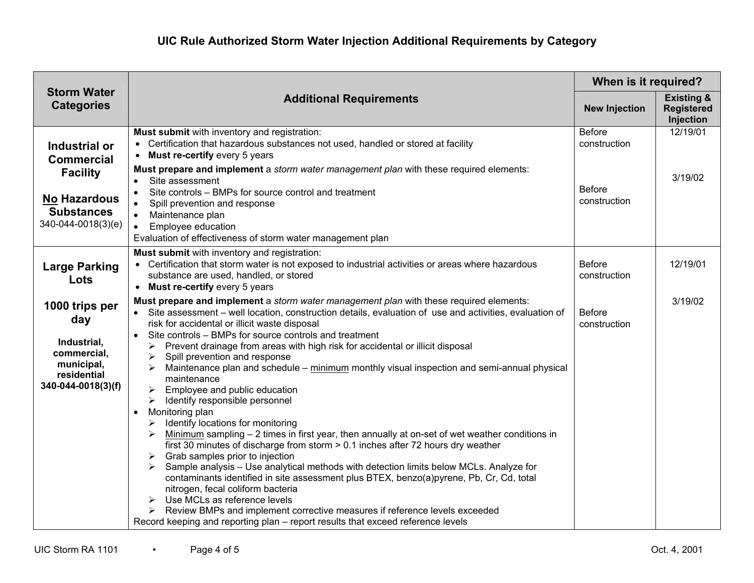| <b>Storm Water</b><br><b>Categories</b>                                                                                 | <b>Additional Requirements</b>                                                                                                                                                                                                                                                                                                                                                                                                                                                                                                                                                                                                                                                                                                                                                                                                                                                                                                                                                                                                                                                                                                                                                                                                                                                                                                                                                         | When is it required?                                           |                                                         |
|-------------------------------------------------------------------------------------------------------------------------|----------------------------------------------------------------------------------------------------------------------------------------------------------------------------------------------------------------------------------------------------------------------------------------------------------------------------------------------------------------------------------------------------------------------------------------------------------------------------------------------------------------------------------------------------------------------------------------------------------------------------------------------------------------------------------------------------------------------------------------------------------------------------------------------------------------------------------------------------------------------------------------------------------------------------------------------------------------------------------------------------------------------------------------------------------------------------------------------------------------------------------------------------------------------------------------------------------------------------------------------------------------------------------------------------------------------------------------------------------------------------------------|----------------------------------------------------------------|---------------------------------------------------------|
|                                                                                                                         |                                                                                                                                                                                                                                                                                                                                                                                                                                                                                                                                                                                                                                                                                                                                                                                                                                                                                                                                                                                                                                                                                                                                                                                                                                                                                                                                                                                        | <b>New Injection</b>                                           | <b>Existing &amp;</b><br><b>Registered</b><br>Injection |
| Industrial or<br><b>Commercial</b><br><b>Facility</b><br><b>No Hazardous</b><br><b>Substances</b><br>340-044-0018(3)(e) | Must submit with inventory and registration:<br>• Certification that hazardous substances not used, handled or stored at facility<br>Must re-certify every 5 years<br>$\bullet$<br>Must prepare and implement a storm water management plan with these required elements:<br>Site assessment<br>$\bullet$<br>Site controls - BMPs for source control and treatment<br>Spill prevention and response<br>$\bullet$<br>Maintenance plan<br>Employee education<br>$\bullet$<br>Evaluation of effectiveness of storm water management plan                                                                                                                                                                                                                                                                                                                                                                                                                                                                                                                                                                                                                                                                                                                                                                                                                                                  | <b>Before</b><br>construction<br><b>Before</b><br>construction | 12/19/01<br>3/19/02                                     |
| <b>Large Parking</b><br>Lots                                                                                            | Must submit with inventory and registration:<br>• Certification that storm water is not exposed to industrial activities or areas where hazardous<br>substance are used, handled, or stored<br>• Must re-certify every 5 years                                                                                                                                                                                                                                                                                                                                                                                                                                                                                                                                                                                                                                                                                                                                                                                                                                                                                                                                                                                                                                                                                                                                                         | <b>Before</b><br>construction                                  | 12/19/01                                                |
| 1000 trips per<br>day<br>Industrial,<br>commercial,<br>municipal,<br>residential<br>340-044-0018(3)(f)                  | Must prepare and implement a storm water management plan with these required elements:<br>• Site assessment – well location, construction details, evaluation of use and activities, evaluation of<br>risk for accidental or illicit waste disposal<br>Site controls - BMPs for source controls and treatment<br>Prevent drainage from areas with high risk for accidental or illicit disposal<br>⋗<br>Spill prevention and response<br>➤<br>Maintenance plan and schedule - minimum monthly visual inspection and semi-annual physical<br>maintenance<br>Employee and public education<br>➤<br>Identify responsible personnel<br>➤<br>Monitoring plan<br>$\bullet$<br>Identify locations for monitoring<br>➤<br>Minimum sampling $-2$ times in first year, then annually at on-set of wet weather conditions in<br>➤<br>first 30 minutes of discharge from storm > 0.1 inches after 72 hours dry weather<br>Grab samples prior to injection<br>➤<br>Sample analysis - Use analytical methods with detection limits below MCLs. Analyze for<br>➤<br>contaminants identified in site assessment plus BTEX, benzo(a)pyrene, Pb, Cr, Cd, total<br>nitrogen, fecal coliform bacteria<br>Use MCLs as reference levels<br>Review BMPs and implement corrective measures if reference levels exceeded<br>➤<br>Record keeping and reporting plan - report results that exceed reference levels | <b>Before</b><br>construction                                  | 3/19/02                                                 |